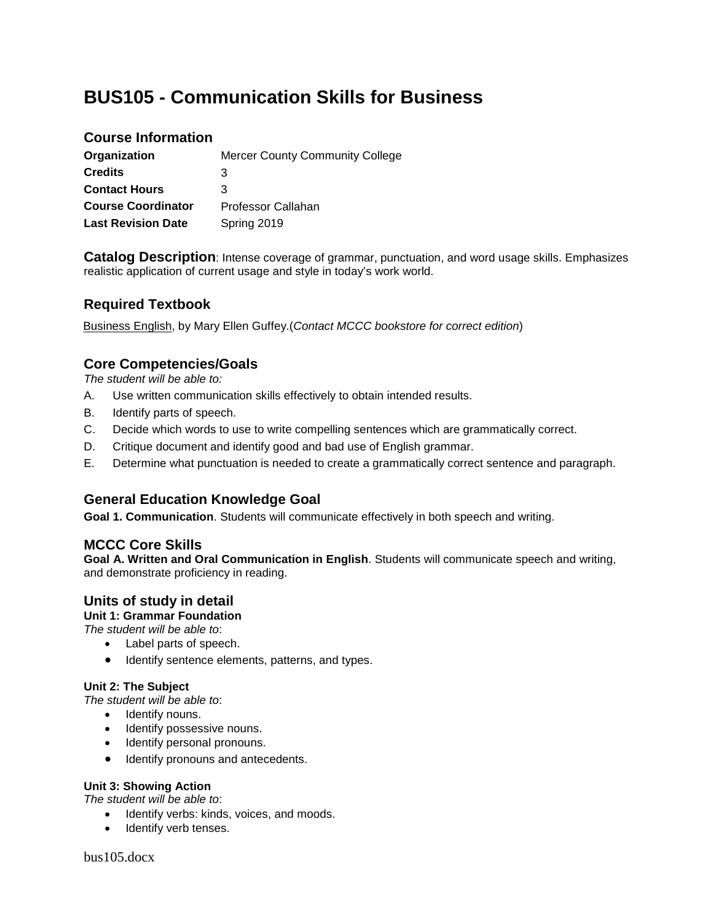# **BUS105 - Communication Skills for Business**

## **Course Information**

| Organization              | <b>Mercer County Community College</b> |
|---------------------------|----------------------------------------|
| <b>Credits</b>            | 3                                      |
| <b>Contact Hours</b>      | 3                                      |
| <b>Course Coordinator</b> | Professor Callahan                     |
| <b>Last Revision Date</b> | Spring 2019                            |

**Catalog Description**: Intense coverage of grammar, punctuation, and word usage skills. Emphasizes realistic application of current usage and style in today's work world.

# **Required Textbook**

Business English, by Mary Ellen Guffey.(*Contact MCCC bookstore for correct edition*)

## **Core Competencies/Goals**

*The student will be able to:*

- A. Use written communication skills effectively to obtain intended results.
- B. Identify parts of speech.
- C. Decide which words to use to write compelling sentences which are grammatically correct.
- D. Critique document and identify good and bad use of English grammar.
- E. Determine what punctuation is needed to create a grammatically correct sentence and paragraph.

## **General Education Knowledge Goal**

**Goal 1. Communication**. Students will communicate effectively in both speech and writing.

## **MCCC Core Skills**

**Goal A. Written and Oral Communication in English**. Students will communicate speech and writing, and demonstrate proficiency in reading.

## **Units of study in detail**

**Unit 1: Grammar Foundation**

*The student will be able to*:

- Label parts of speech.
- Identify sentence elements, patterns, and types.

## **Unit 2: The Subject**

*The student will be able to*:

- Identify nouns.
- Identify possessive nouns.
- Identify personal pronouns.
- Identify pronouns and antecedents.

### **Unit 3: Showing Action**

*The student will be able to*:

- Identify verbs: kinds, voices, and moods.
- Identify verb tenses.

bus105.docx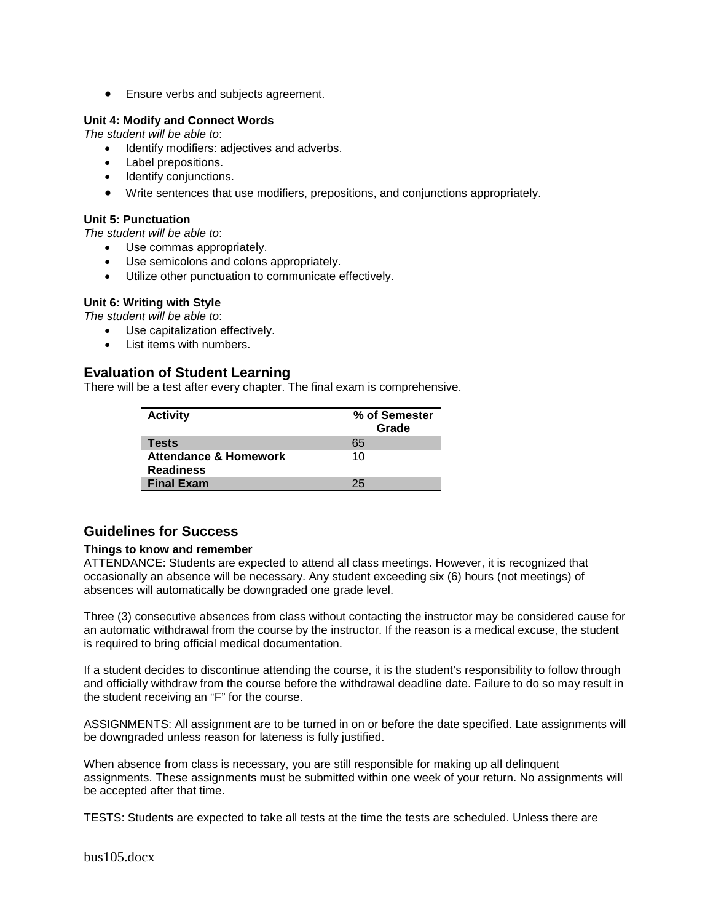• Ensure verbs and subjects agreement.

#### **Unit 4: Modify and Connect Words**

*The student will be able to*:

- Identify modifiers: adjectives and adverbs.
- Label prepositions.
- Identify conjunctions.
- Write sentences that use modifiers, prepositions, and conjunctions appropriately.

#### **Unit 5: Punctuation**

*The student will be able to*:

- Use commas appropriately.
- Use semicolons and colons appropriately.
- Utilize other punctuation to communicate effectively.

### **Unit 6: Writing with Style**

*The student will be able to*:

- Use capitalization effectively.
- List items with numbers.

## **Evaluation of Student Learning**

There will be a test after every chapter. The final exam is comprehensive.

| <b>Activity</b>                                      | % of Semester<br>Grade |
|------------------------------------------------------|------------------------|
| <b>Tests</b>                                         | 65                     |
| <b>Attendance &amp; Homework</b><br><b>Readiness</b> | 10                     |
| <b>Final Exam</b>                                    | 25                     |

## **Guidelines for Success**

#### **Things to know and remember**

ATTENDANCE: Students are expected to attend all class meetings. However, it is recognized that occasionally an absence will be necessary. Any student exceeding six (6) hours (not meetings) of absences will automatically be downgraded one grade level.

Three (3) consecutive absences from class without contacting the instructor may be considered cause for an automatic withdrawal from the course by the instructor. If the reason is a medical excuse, the student is required to bring official medical documentation.

If a student decides to discontinue attending the course, it is the student's responsibility to follow through and officially withdraw from the course before the withdrawal deadline date. Failure to do so may result in the student receiving an "F" for the course.

ASSIGNMENTS: All assignment are to be turned in on or before the date specified. Late assignments will be downgraded unless reason for lateness is fully justified.

When absence from class is necessary, you are still responsible for making up all delinquent assignments. These assignments must be submitted within one week of your return. No assignments will be accepted after that time.

TESTS: Students are expected to take all tests at the time the tests are scheduled. Unless there are